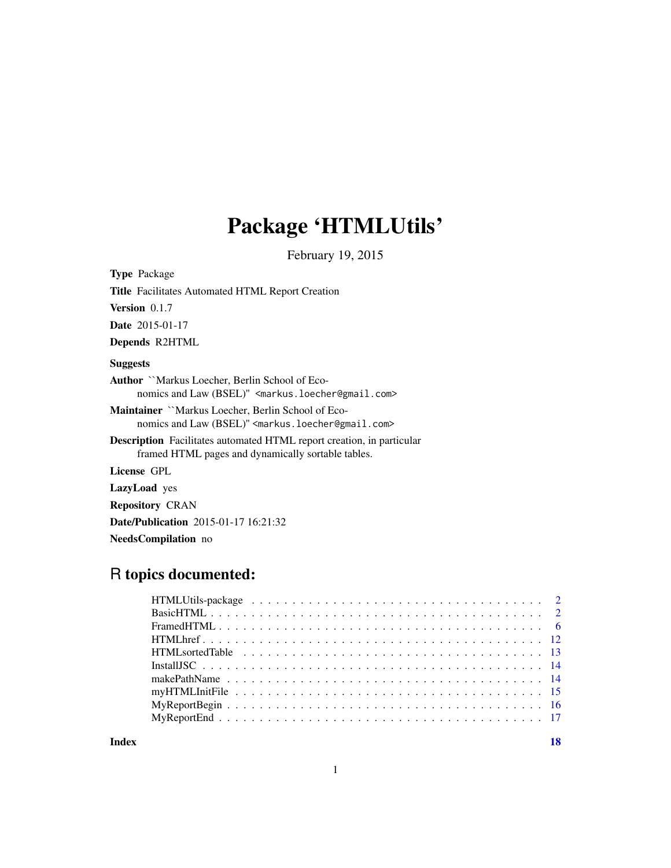## Package 'HTMLUtils'

February 19, 2015

Type Package Title Facilitates Automated HTML Report Creation Version 0.1.7 Date 2015-01-17 Depends R2HTML **Suggests** Author ``Markus Loecher, Berlin School of Economics and Law (BSEL)" <markus.loecher@gmail.com> Maintainer ``Markus Loecher, Berlin School of Economics and Law (BSEL)" <markus.loecher@gmail.com> Description Facilitates automated HTML report creation, in particular framed HTML pages and dynamically sortable tables. License GPL LazyLoad yes Repository CRAN Date/Publication 2015-01-17 16:21:32

NeedsCompilation no

### R topics documented:

**Index** 2008 **[18](#page-17-0)**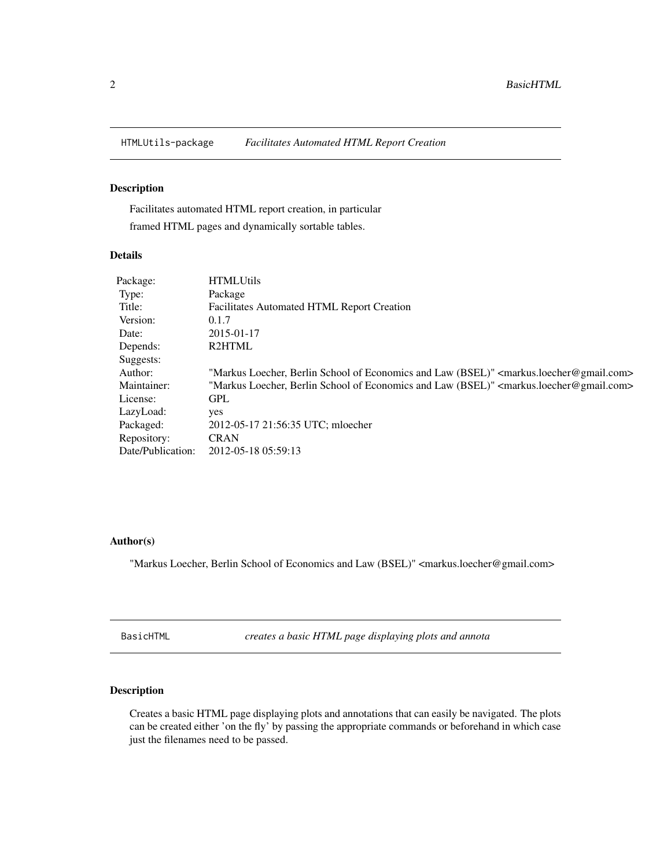<span id="page-1-0"></span>

#### Description

Facilitates automated HTML report creation, in particular framed HTML pages and dynamically sortable tables.

#### Details

| Package:          | <b>HTMLUtils</b>                                                                                                  |
|-------------------|-------------------------------------------------------------------------------------------------------------------|
| Type:             | Package                                                                                                           |
| Title:            | <b>Facilitates Automated HTML Report Creation</b>                                                                 |
| Version:          | 0.1.7                                                                                                             |
| Date:             | 2015-01-17                                                                                                        |
| Depends:          | <b>R2HTML</b>                                                                                                     |
| Suggests:         |                                                                                                                   |
| Author:           | "Markus Loecher, Berlin School of Economics and Law (BSEL)" <markus.loecher@gmail.com></markus.loecher@gmail.com> |
| Maintainer:       | "Markus Loecher, Berlin School of Economics and Law (BSEL)" <markus.loecher@gmail.com></markus.loecher@gmail.com> |
| License:          | <b>GPL</b>                                                                                                        |
| LazyLoad:         | yes                                                                                                               |
| Packaged:         | 2012-05-17 21:56:35 UTC; mloecher                                                                                 |
| Repository:       | <b>CRAN</b>                                                                                                       |
| Date/Publication: | 2012-05-18 05:59:13                                                                                               |

#### Author(s)

"Markus Loecher, Berlin School of Economics and Law (BSEL)" <markus.loecher@gmail.com>

<span id="page-1-1"></span>BasicHTML *creates a basic HTML page displaying plots and annota*

#### Description

Creates a basic HTML page displaying plots and annotations that can easily be navigated. The plots can be created either 'on the fly' by passing the appropriate commands or beforehand in which case just the filenames need to be passed.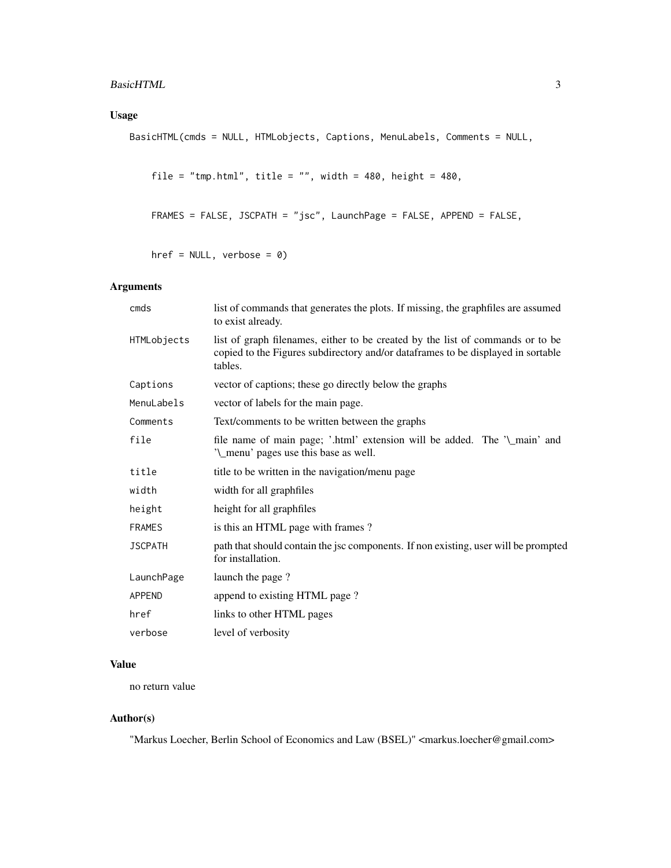#### Usage

```
BasicHTML(cmds = NULL, HTMLobjects, Captions, MenuLabels, Comments = NULL,
```

```
file = "tmp.html", title = "", width = 480, height = 480,
```

```
FRAMES = FALSE, JSCPATH = "jsc", LaunchPage = FALSE, APPEND = FALSE,
```
href =  $NULL$ , verbose =  $0$ )

#### Arguments

| cmds           | list of commands that generates the plots. If missing, the graphfiles are assumed<br>to exist already.                                                                        |
|----------------|-------------------------------------------------------------------------------------------------------------------------------------------------------------------------------|
| HTMLobjects    | list of graph filenames, either to be created by the list of commands or to be<br>copied to the Figures subdirectory and/or dataframes to be displayed in sortable<br>tables. |
| Captions       | vector of captions; these go directly below the graphs                                                                                                                        |
| MenuLabels     | vector of labels for the main page.                                                                                                                                           |
| Comments       | Text/comments to be written between the graphs                                                                                                                                |
| file           | file name of main page; '.html' extension will be added. The '\_main' and<br>'\_menu' pages use this base as well.                                                            |
| title          | title to be written in the navigation/menu page                                                                                                                               |
| width          | width for all graphfiles                                                                                                                                                      |
| height         | height for all graphfiles                                                                                                                                                     |
| <b>FRAMES</b>  | is this an HTML page with frames?                                                                                                                                             |
| <b>JSCPATH</b> | path that should contain the jsc components. If non existing, user will be prompted<br>for installation.                                                                      |
| LaunchPage     | launch the page?                                                                                                                                                              |
| APPEND         | append to existing HTML page?                                                                                                                                                 |
| href           | links to other HTML pages                                                                                                                                                     |
| verbose        | level of verbosity                                                                                                                                                            |

#### Value

no return value

#### Author(s)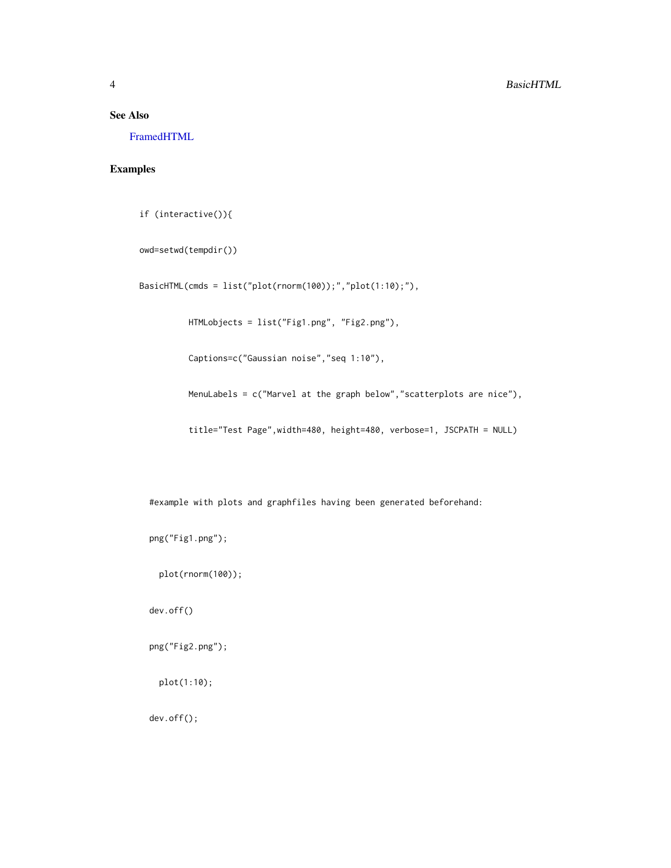#### <span id="page-3-0"></span>See Also

[FramedHTML](#page-5-1)

#### Examples

if (interactive()){

owd=setwd(tempdir())

BasicHTML(cmds = list("plot(rnorm(100));","plot(1:10);"),

HTMLobjects = list("Fig1.png", "Fig2.png"),

Captions=c("Gaussian noise","seq 1:10"),

MenuLabels = c("Marvel at the graph below","scatterplots are nice"),

title="Test Page",width=480, height=480, verbose=1, JSCPATH = NULL)

#example with plots and graphfiles having been generated beforehand:

png("Fig1.png");

plot(rnorm(100));

dev.off()

png("Fig2.png");

plot(1:10);

dev.off();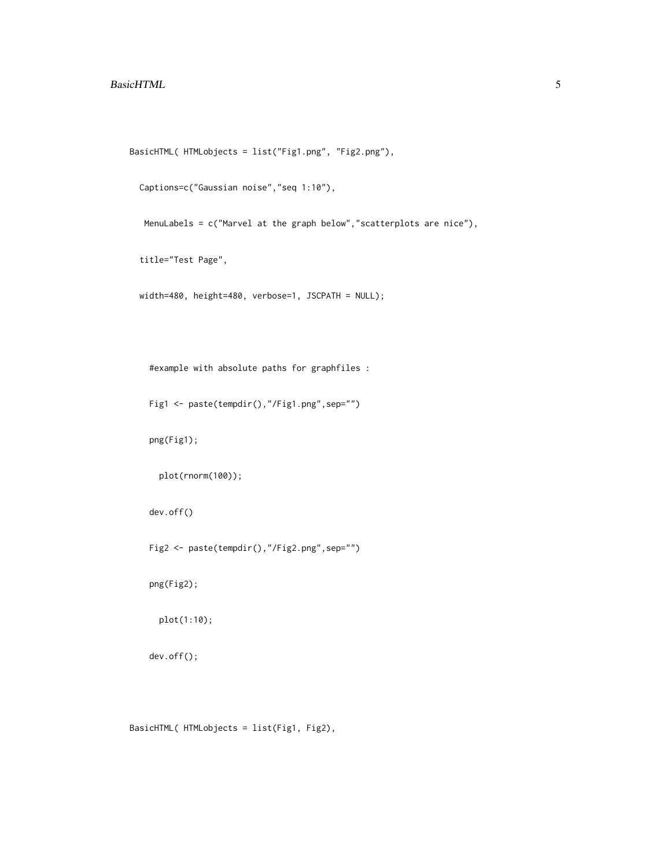#### BasicHTML 5

```
BasicHTML( HTMLobjects = list("Fig1.png", "Fig2.png"),
```

```
Captions=c("Gaussian noise","seq 1:10"),
```
MenuLabels = c("Marvel at the graph below","scatterplots are nice"),

title="Test Page",

width=480, height=480, verbose=1, JSCPATH = NULL);

#example with absolute paths for graphfiles :

```
Fig1 <- paste(tempdir(),"/Fig1.png",sep="")
```
png(Fig1);

```
plot(rnorm(100));
```
dev.off()

```
Fig2 <- paste(tempdir(),"/Fig2.png",sep="")
```
png(Fig2);

plot(1:10);

dev.off();

BasicHTML( HTMLobjects = list(Fig1, Fig2),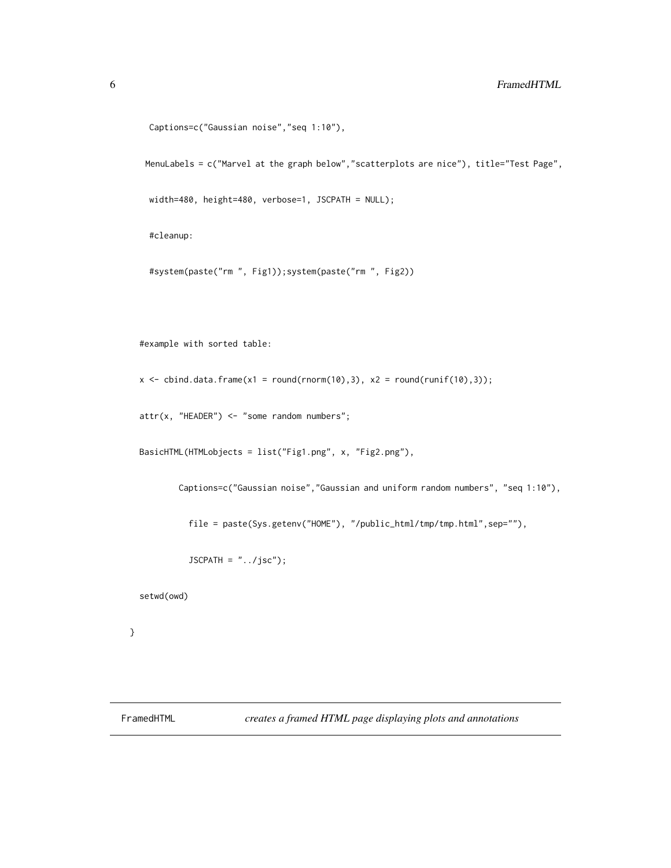```
Captions=c("Gaussian noise","seq 1:10"),
```
MenuLabels = c("Marvel at the graph below","scatterplots are nice"), title="Test Page",

width=480, height=480, verbose=1, JSCPATH = NULL);

#cleanup:

```
#system(paste("rm ", Fig1));system(paste("rm ", Fig2))
```
#example with sorted table:

 $x \le$  cbind.data.frame(x1 = round(rnorm(10),3), x2 = round(runif(10),3));

attr(x, "HEADER") <- "some random numbers";

BasicHTML(HTMLobjects = list("Fig1.png", x, "Fig2.png"),

Captions=c("Gaussian noise","Gaussian and uniform random numbers", "seq 1:10"),

file = paste(Sys.getenv("HOME"), "/public\_html/tmp/tmp.html",sep=""),

 $JSCPATH = "../jsc")$ ;

setwd(owd)

}

<span id="page-5-1"></span>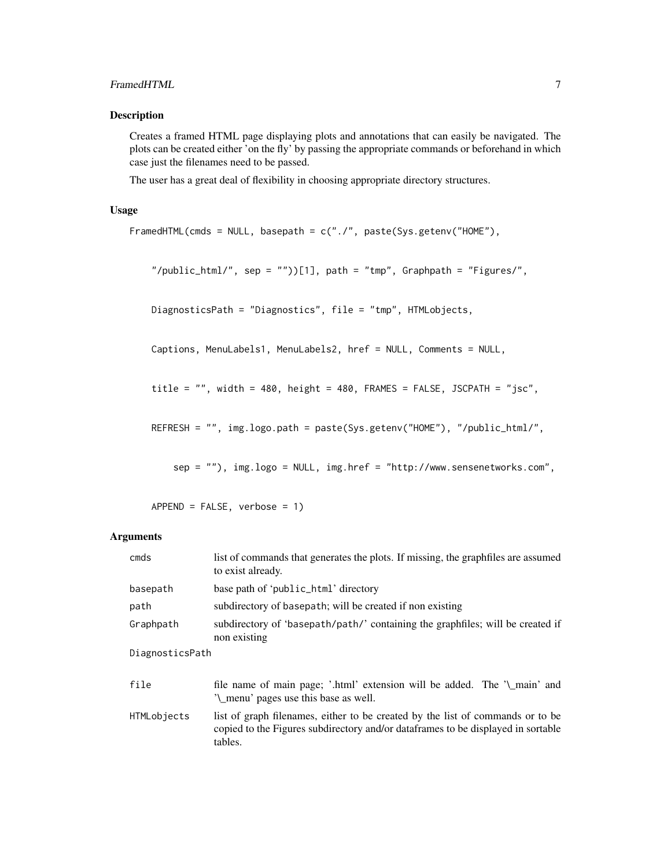#### FramedHTML 7

#### Description

Creates a framed HTML page displaying plots and annotations that can easily be navigated. The plots can be created either 'on the fly' by passing the appropriate commands or beforehand in which case just the filenames need to be passed.

The user has a great deal of flexibility in choosing appropriate directory structures.

#### Usage

```
FramedHTML(cmds = NULL, basepath = c("./", paste(Sys.getenv("HOME"),
```
"/public\_html/", sep = ""))[1], path = "tmp", Graphpath = "Figures/",

DiagnosticsPath = "Diagnostics", file = "tmp", HTMLobjects,

Captions, MenuLabels1, MenuLabels2, href = NULL, Comments = NULL,

title = "", width = 480, height = 480, FRAMES = FALSE, JSCPATH = "jsc",

REFRESH = "", img.logo.path = paste(Sys.getenv("HOME"), "/public\_html/",

sep = ""), img.logo = NULL, img.href = "http://www.sensenetworks.com",

APPEND = FALSE, verbose = 1)

#### Arguments

| cmds            | list of commands that generates the plots. If missing, the graphfiles are assumed<br>to exist already.                                                                        |
|-----------------|-------------------------------------------------------------------------------------------------------------------------------------------------------------------------------|
| basepath        | base path of 'public_html' directory                                                                                                                                          |
| path            | subdirectory of basepath; will be created if non existing                                                                                                                     |
| Graphpath       | subdirectory of 'basepath/path/' containing the graphfiles; will be created if<br>non existing                                                                                |
| DiagnosticsPath |                                                                                                                                                                               |
| file            | file name of main page; '.html' extension will be added. The '\_main' and<br>'\_menu' pages use this base as well.                                                            |
| HTMLobjects     | list of graph filenames, either to be created by the list of commands or to be<br>copied to the Figures subdirectory and/or dataframes to be displayed in sortable<br>tables. |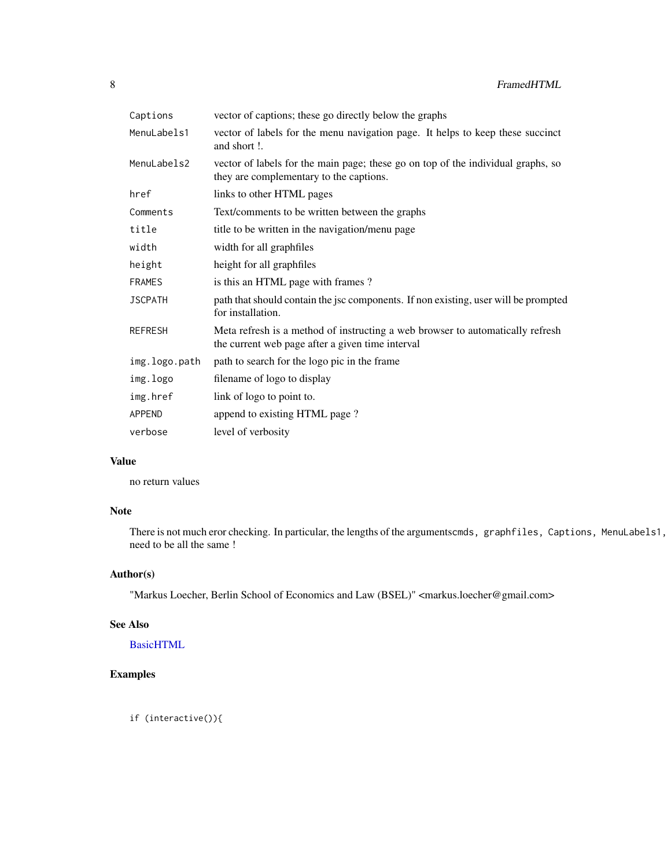<span id="page-7-0"></span>

| Captions       | vector of captions; these go directly below the graphs                                                                             |
|----------------|------------------------------------------------------------------------------------------------------------------------------------|
| MenuLabels1    | vector of labels for the menu navigation page. It helps to keep these succinct<br>and short !.                                     |
| MenuLabels2    | vector of labels for the main page; these go on top of the individual graphs, so<br>they are complementary to the captions.        |
| href           | links to other HTML pages                                                                                                          |
| Comments       | Text/comments to be written between the graphs                                                                                     |
| title          | title to be written in the navigation/menu page                                                                                    |
| width          | width for all graphfiles                                                                                                           |
| height         | height for all graphfiles                                                                                                          |
| <b>FRAMES</b>  | is this an HTML page with frames?                                                                                                  |
| <b>JSCPATH</b> | path that should contain the jsc components. If non existing, user will be prompted<br>for installation.                           |
| <b>REFRESH</b> | Meta refresh is a method of instructing a web browser to automatically refresh<br>the current web page after a given time interval |
| img.logo.path  | path to search for the logo pic in the frame                                                                                       |
| img.logo       | filename of logo to display                                                                                                        |
| img.href       | link of logo to point to.                                                                                                          |
| <b>APPEND</b>  | append to existing HTML page?                                                                                                      |
| verbose        | level of verbosity                                                                                                                 |

#### Value

no return values

#### Note

There is not much eror checking. In particular, the lengths of the argumentscmds, graphfiles, Captions, MenuLabels1, need to be all the same !

#### Author(s)

"Markus Loecher, Berlin School of Economics and Law (BSEL)" <markus.loecher@gmail.com>

#### See Also

**[BasicHTML](#page-1-1)** 

#### Examples

if (interactive()){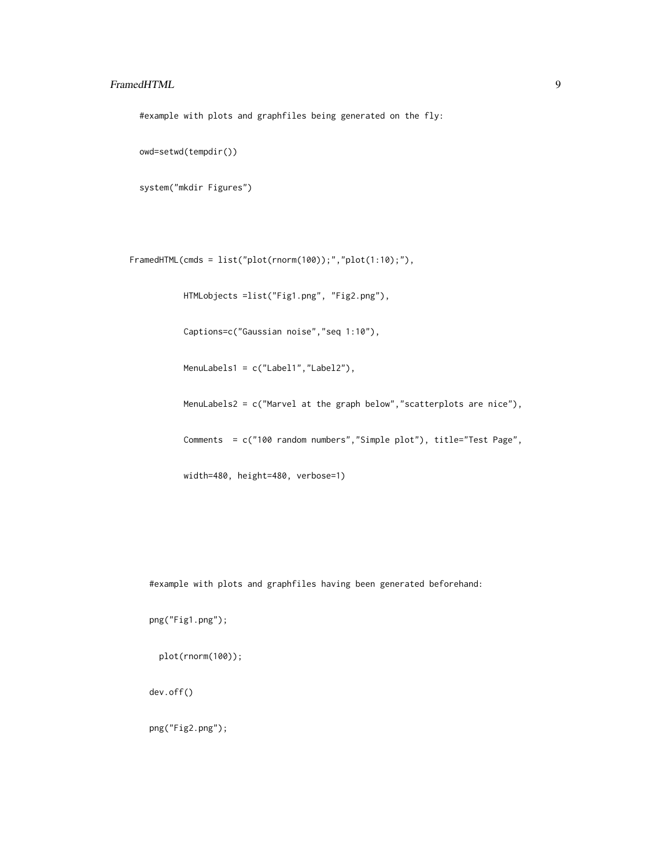#### FramedHTML 9

#example with plots and graphfiles being generated on the fly:

```
owd=setwd(tempdir())
```

```
system("mkdir Figures")
```

```
FramedHTML(cmds = list("plot(rnorm(100));","plot(1:10);"),
```
HTMLobjects =list("Fig1.png", "Fig2.png"),

Captions=c("Gaussian noise","seq 1:10"),

MenuLabels1 = c("Label1","Label2"),

MenuLabels2 = c("Marvel at the graph below","scatterplots are nice"),

Comments = c("100 random numbers","Simple plot"), title="Test Page",

width=480, height=480, verbose=1)

#example with plots and graphfiles having been generated beforehand:

png("Fig1.png");

plot(rnorm(100));

dev.off()

png("Fig2.png");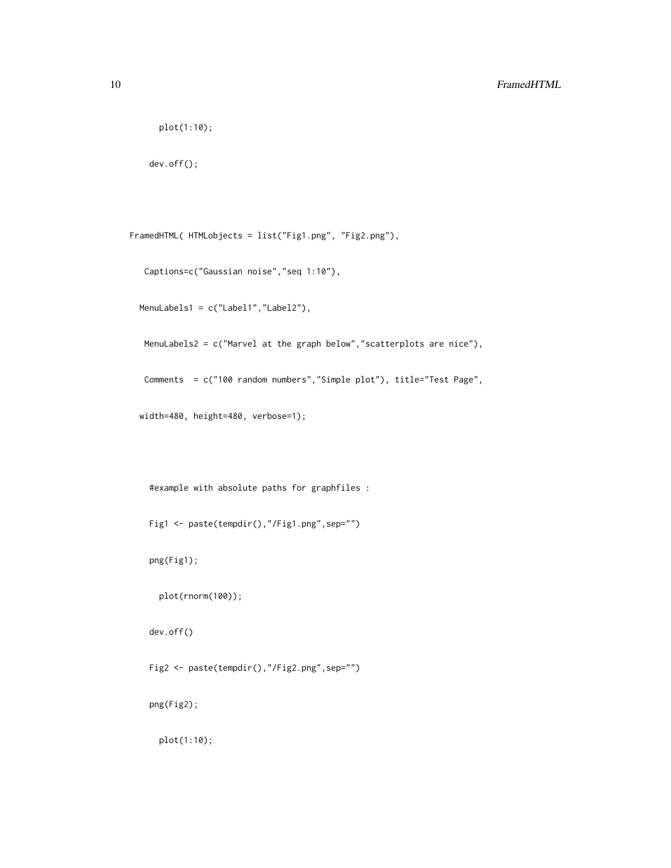```
plot(1:10);
```
dev.off();

FramedHTML( HTMLobjects = list("Fig1.png", "Fig2.png"),

```
Captions=c("Gaussian noise","seq 1:10"),
```
MenuLabels1 = c("Label1","Label2"),

MenuLabels2 = c("Marvel at the graph below","scatterplots are nice"),

Comments = c("100 random numbers","Simple plot"), title="Test Page",

width=480, height=480, verbose=1);

#example with absolute paths for graphfiles :

Fig1 <- paste(tempdir(),"/Fig1.png",sep="")

png(Fig1);

plot(rnorm(100));

dev.off()

Fig2 <- paste(tempdir(),"/Fig2.png",sep="")

png(Fig2);

plot(1:10);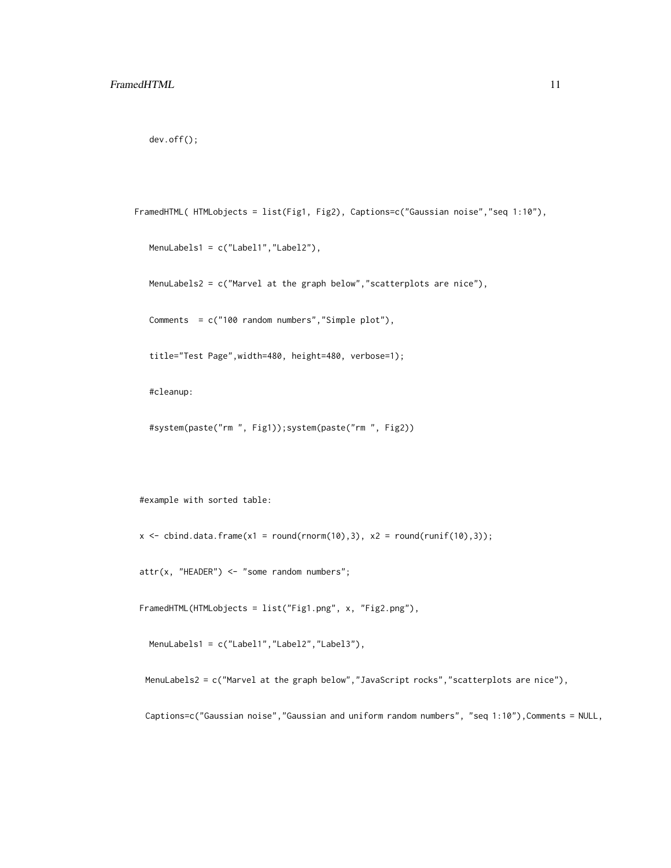```
dev.off();
```

```
FramedHTML( HTMLobjects = list(Fig1, Fig2), Captions=c("Gaussian noise","seq 1:10"),
```

```
MenuLabels1 = c("Label1","Label2"),
```
MenuLabels2 = c("Marvel at the graph below","scatterplots are nice"),

Comments = c("100 random numbers","Simple plot"),

title="Test Page",width=480, height=480, verbose=1);

#cleanup:

```
#system(paste("rm ", Fig1));system(paste("rm ", Fig2))
```
#example with sorted table:

 $x \le$  cbind.data.frame(x1 = round(rnorm(10),3), x2 = round(runif(10),3));

attr(x, "HEADER") <- "some random numbers";

FramedHTML(HTMLobjects = list("Fig1.png", x, "Fig2.png"),

MenuLabels1 = c("Label1","Label2","Label3"),

MenuLabels2 = c("Marvel at the graph below","JavaScript rocks","scatterplots are nice"),

Captions=c("Gaussian noise","Gaussian and uniform random numbers", "seq 1:10"),Comments = NULL,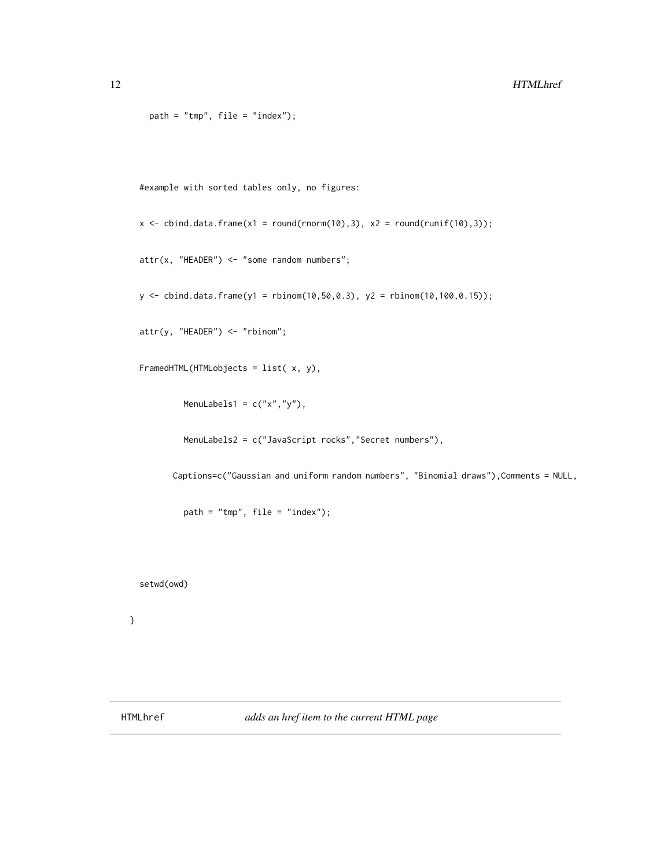```
path = "tmp", file = "index");
```
#example with sorted tables only, no figures:

```
x \le cbind.data.frame(x1 = round(rnorm(10),3), x2 = round(runif(10),3));
```
 $attr(x, "HEADER") \leq "some random numbers";$ 

 $y \le$  cbind.data.frame(y1 = rbinom(10,50,0.3), y2 = rbinom(10,100,0.15));

attr(y, "HEADER") <- "rbinom";

```
FramedHTML(HTMLobjects = list( x, y),
```
MenuLabels1 =  $c("x", "y")$ ,

MenuLabels2 = c("JavaScript rocks","Secret numbers"),

Captions=c("Gaussian and uniform random numbers", "Binomial draws"),Comments = NULL,

path = "tmp", file = "index");

setwd(owd)

```
}
```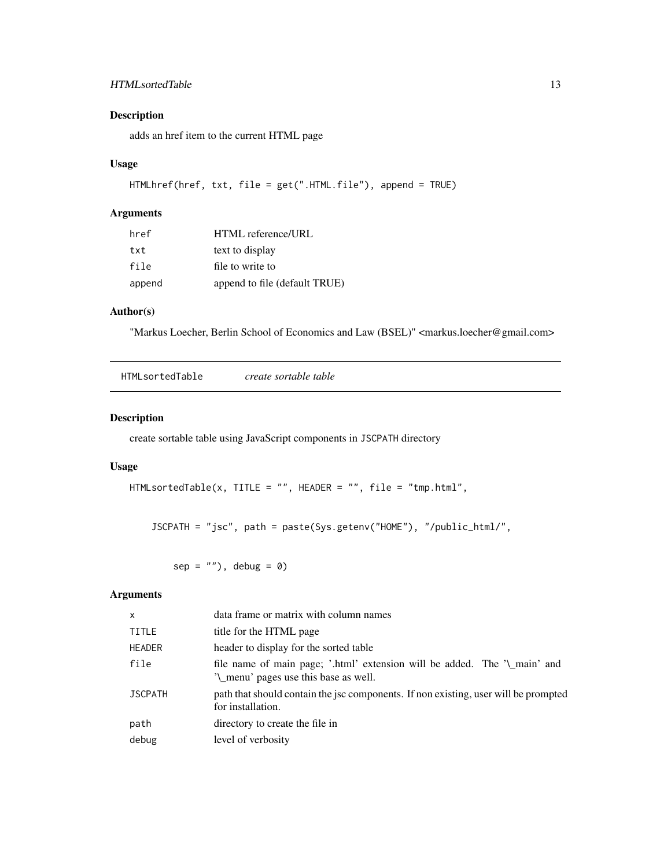#### <span id="page-12-0"></span>HTMLsortedTable 13

#### Description

adds an href item to the current HTML page

#### Usage

```
HTMLhref(href, txt, file = get(".HTML.file"), append = TRUE)
```
#### Arguments

| href   | HTML reference/URL            |
|--------|-------------------------------|
| txt    | text to display               |
| file   | file to write to              |
| append | append to file (default TRUE) |

#### Author(s)

"Markus Loecher, Berlin School of Economics and Law (BSEL)" <markus.loecher@gmail.com>

| HTMLsortedTable<br>create sortable table |  |
|------------------------------------------|--|
|------------------------------------------|--|

#### Description

create sortable table using JavaScript components in JSCPATH directory

#### Usage

```
HTMLsortedTable(x, TITLE = "", HEADER = "", file = "tmp.html",
```
JSCPATH = "jsc", path = paste(Sys.getenv("HOME"), "/public\_html/",

 $sep = "")$ , debug = 0)

#### Arguments

| $\mathsf{x}$   | data frame or matrix with column names                                                                             |
|----------------|--------------------------------------------------------------------------------------------------------------------|
| <b>TITLE</b>   | title for the HTML page                                                                                            |
| <b>HEADER</b>  | header to display for the sorted table                                                                             |
| file           | file name of main page; '.html' extension will be added. The '\_main' and<br>'\_menu' pages use this base as well. |
| <b>JSCPATH</b> | path that should contain the jsc components. If non existing, user will be prompted<br>for installation.           |
| path           | directory to create the file in                                                                                    |
| debug          | level of verbosity                                                                                                 |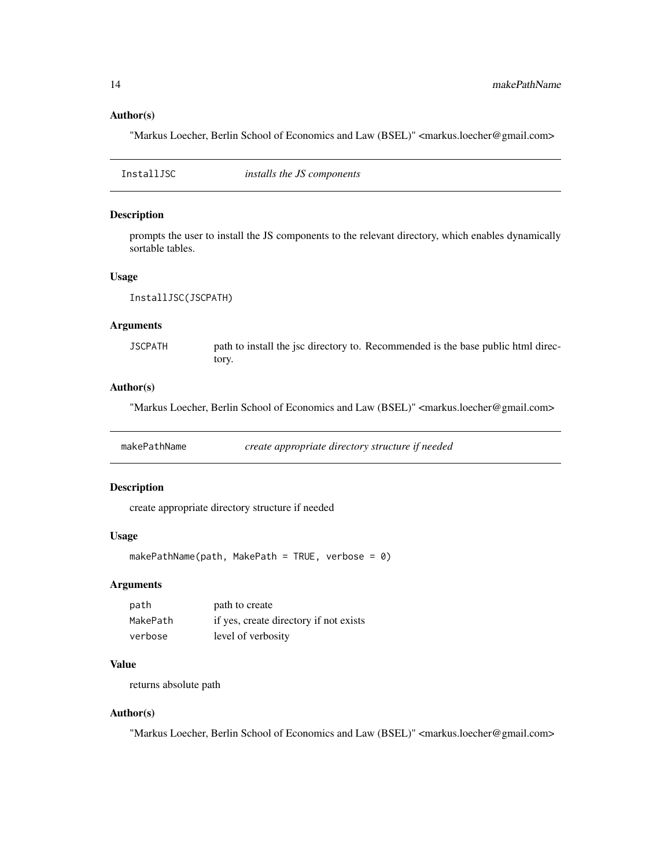#### Author(s)

"Markus Loecher, Berlin School of Economics and Law (BSEL)" <markus.loecher@gmail.com>

InstallJSC *installs the JS components*

#### Description

prompts the user to install the JS components to the relevant directory, which enables dynamically sortable tables.

#### Usage

InstallJSC(JSCPATH)

#### Arguments

JSCPATH path to install the jsc directory to. Recommended is the base public html directory.

#### Author(s)

"Markus Loecher, Berlin School of Economics and Law (BSEL)" <markus.loecher@gmail.com>

makePathName *create appropriate directory structure if needed*

#### Description

create appropriate directory structure if needed

#### Usage

```
makePathName(path, MakePath = TRUE, verbose = \theta)
```
#### Arguments

| path     | path to create                         |
|----------|----------------------------------------|
| MakePath | if yes, create directory if not exists |
| verbose  | level of verbosity                     |

#### Value

returns absolute path

#### Author(s)

<span id="page-13-0"></span>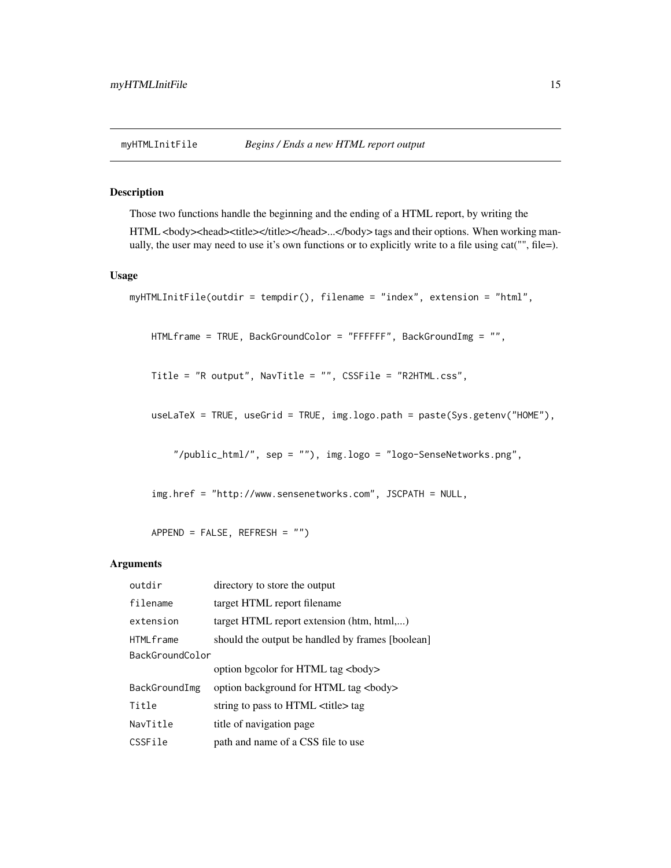<span id="page-14-0"></span>

#### Description

Those two functions handle the beginning and the ending of a HTML report, by writing the

HTML <br/>>body><head><title></title></head>...</body> tags and their options. When working manually, the user may need to use it's own functions or to explicitly write to a file using cat("", file=).

#### Usage

```
myHTMLInitFile(outdir = tempdir(), filename = "index", extension = "html",
```

```
HTMLframe = TRUE, BackGroundColor = "FFFFFF", BackGroundImg = "",
```
Title = "R output", NavTitle = "", CSSFile = "R2HTML.css",

useLaTeX = TRUE, useGrid = TRUE, img.logo.path = paste(Sys.getenv("HOME"),

"/public\_html/", sep = ""), img.logo = "logo-SenseNetworks.png",

img.href = "http://www.sensenetworks.com", JSCPATH = NULL,

APPEND = FALSE, REFRESH = "")

#### Arguments

| outdir           | directory to store the output                    |
|------------------|--------------------------------------------------|
| filename         | target HTML report filename                      |
| extension        | target HTML report extension (htm, html,)        |
| <b>HTMLframe</b> | should the output be handled by frames [boolean] |
| BackGroundColor  |                                                  |
|                  | option bgcolor for HTML tag<br>body>             |
| BackGroundImg    | option background for HTML tag<br>body>          |
| Title            | string to pass to HTML <title> tag</title>       |
| NavTitle         | title of navigation page                         |
| CSSFile          | path and name of a CSS file to use               |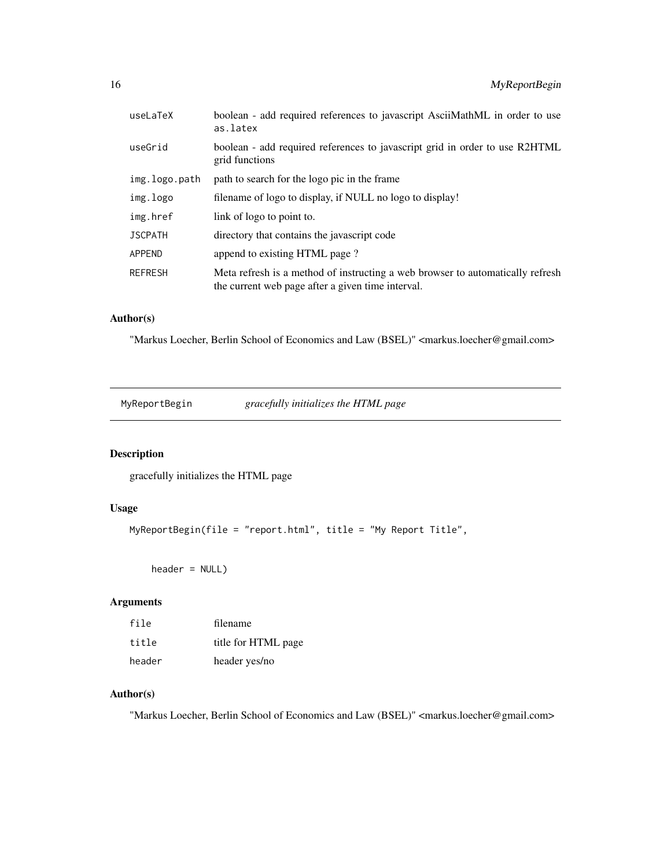<span id="page-15-0"></span>

| useLaTeX       | boolean - add required references to javascript AsciiMathML in order to use<br>as.latex                                             |
|----------------|-------------------------------------------------------------------------------------------------------------------------------------|
| useGrid        | boolean - add required references to javascript grid in order to use R2HTML<br>grid functions                                       |
| img.logo.path  | path to search for the logo pic in the frame                                                                                        |
| img.logo       | filename of logo to display, if NULL no logo to display!                                                                            |
| img.href       | link of logo to point to.                                                                                                           |
| <b>JSCPATH</b> | directory that contains the javascript code                                                                                         |
| <b>APPEND</b>  | append to existing HTML page?                                                                                                       |
| <b>REFRESH</b> | Meta refresh is a method of instructing a web browser to automatically refresh<br>the current web page after a given time interval. |

#### Author(s)

"Markus Loecher, Berlin School of Economics and Law (BSEL)" <markus.loecher@gmail.com>

MyReportBegin *gracefully initializes the HTML page*

#### Description

gracefully initializes the HTML page

#### Usage

```
MyReportBegin(file = "report.html", title = "My Report Title",
```

```
header = NULL)
```
#### Arguments

| file   | filename            |
|--------|---------------------|
| title  | title for HTML page |
| header | header yes/no       |

#### Author(s)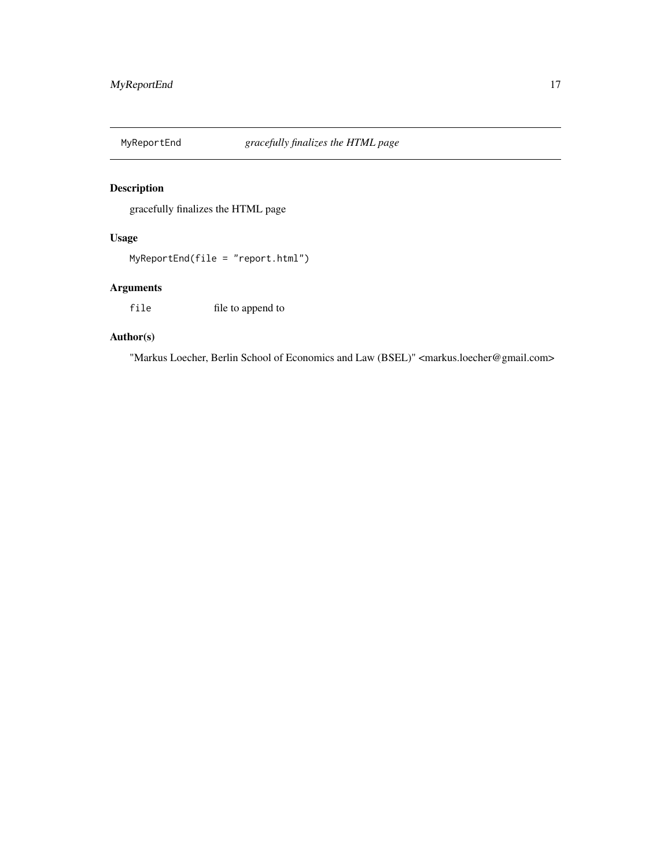<span id="page-16-0"></span>

#### Description

gracefully finalizes the HTML page

#### Usage

MyReportEnd(file = "report.html")

#### Arguments

file file to append to

#### Author(s)